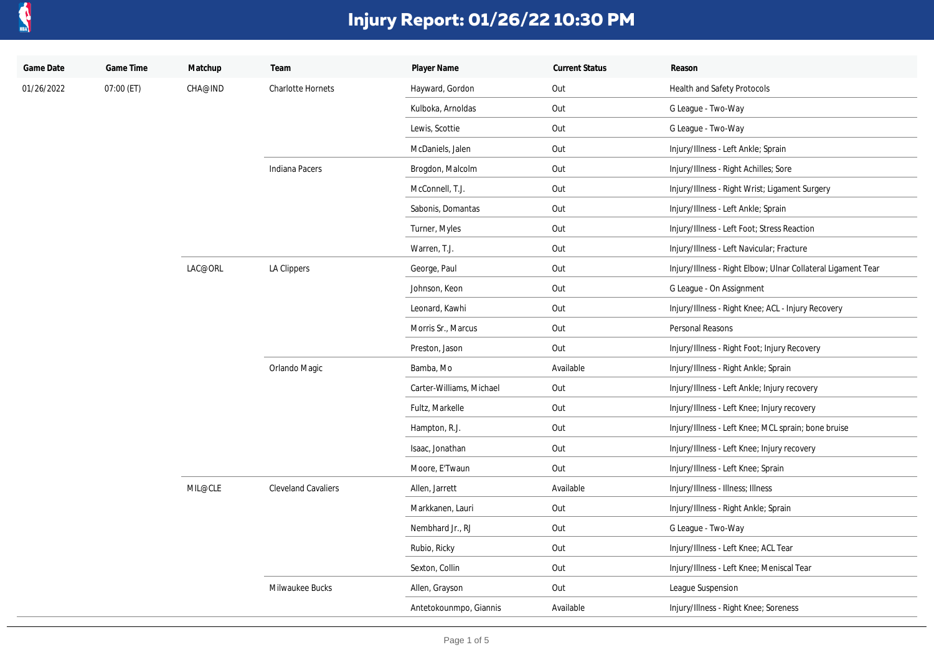

| Game Date  | Game Time  | Matchup | Team                       | Player Name              | <b>Current Status</b> | Reason                                                       |
|------------|------------|---------|----------------------------|--------------------------|-----------------------|--------------------------------------------------------------|
| 01/26/2022 | 07:00 (ET) | CHA@IND | <b>Charlotte Hornets</b>   | Hayward, Gordon          | Out                   | <b>Health and Safety Protocols</b>                           |
|            |            |         |                            | Kulboka, Arnoldas        | Out                   | G League - Two-Way                                           |
|            |            |         |                            | Lewis, Scottie           | Out                   | G League - Two-Way                                           |
|            |            |         |                            | McDaniels, Jalen         | Out                   | Injury/Illness - Left Ankle; Sprain                          |
|            |            |         | Indiana Pacers             | Brogdon, Malcolm         | Out                   | Injury/Illness - Right Achilles; Sore                        |
|            |            |         |                            | McConnell, T.J.          | Out                   | Injury/Illness - Right Wrist; Ligament Surgery               |
|            |            |         |                            | Sabonis, Domantas        | Out                   | Injury/Illness - Left Ankle; Sprain                          |
|            |            |         |                            | Turner, Myles            | Out                   | Injury/Illness - Left Foot; Stress Reaction                  |
|            |            |         |                            | Warren, T.J.             | Out                   | Injury/Illness - Left Navicular; Fracture                    |
|            |            | LAC@ORL | LA Clippers                | George, Paul             | Out                   | Injury/Illness - Right Elbow; Ulnar Collateral Ligament Tear |
|            |            |         |                            | Johnson, Keon            | Out                   | G League - On Assignment                                     |
|            |            |         |                            | Leonard, Kawhi           | Out                   | Injury/Illness - Right Knee; ACL - Injury Recovery           |
|            |            |         |                            | Morris Sr., Marcus       | Out                   | Personal Reasons                                             |
|            |            |         |                            | Preston, Jason           | Out                   | Injury/Illness - Right Foot; Injury Recovery                 |
|            |            |         | Orlando Magic              | Bamba, Mo                | Available             | Injury/Illness - Right Ankle; Sprain                         |
|            |            |         |                            | Carter-Williams, Michael | Out                   | Injury/Illness - Left Ankle; Injury recovery                 |
|            |            |         |                            | Fultz, Markelle          | Out                   | Injury/Illness - Left Knee; Injury recovery                  |
|            |            |         |                            | Hampton, R.J.            | Out                   | Injury/Illness - Left Knee; MCL sprain; bone bruise          |
|            |            |         |                            | Isaac, Jonathan          | Out                   | Injury/Illness - Left Knee; Injury recovery                  |
|            |            |         |                            | Moore, E'Twaun           | Out                   | Injury/Illness - Left Knee; Sprain                           |
|            |            | MIL@CLE | <b>Cleveland Cavaliers</b> | Allen, Jarrett           | Available             | Injury/Illness - Illness; Illness                            |
|            |            |         |                            | Markkanen, Lauri         | Out                   | Injury/Illness - Right Ankle; Sprain                         |
|            |            |         |                            | Nembhard Jr., RJ         | Out                   | G League - Two-Way                                           |
|            |            |         |                            | Rubio, Ricky             | Out                   | Injury/Illness - Left Knee; ACL Tear                         |
|            |            |         |                            | Sexton, Collin           | Out                   | Injury/Illness - Left Knee; Meniscal Tear                    |
|            |            |         | Milwaukee Bucks            | Allen, Grayson           | Out                   | League Suspension                                            |
|            |            |         |                            | Antetokounmpo, Giannis   | Available             | Injury/Illness - Right Knee; Soreness                        |
|            |            |         |                            |                          |                       |                                                              |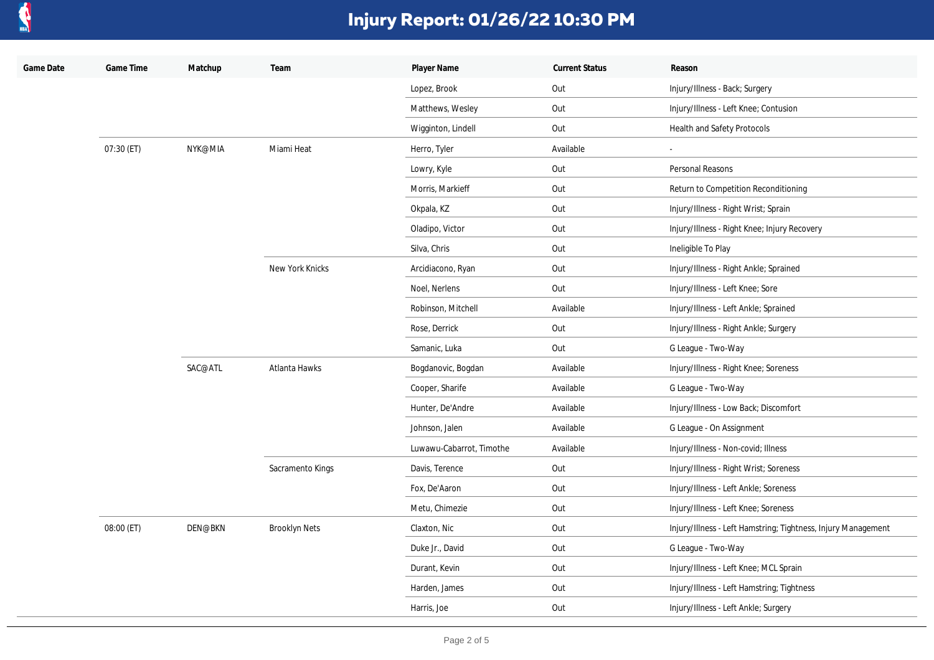

| Game Date | Game Time  | Matchup | Team                 | Player Name              | <b>Current Status</b> | Reason                                                        |
|-----------|------------|---------|----------------------|--------------------------|-----------------------|---------------------------------------------------------------|
|           |            |         |                      | Lopez, Brook             | Out                   | Injury/Illness - Back; Surgery                                |
|           |            |         |                      | Matthews, Wesley         | Out                   | Injury/Illness - Left Knee; Contusion                         |
|           |            |         |                      | Wigginton, Lindell       | Out                   | Health and Safety Protocols                                   |
|           | 07:30 (ET) | NYK@MIA | Miami Heat           | Herro, Tyler             | Available             |                                                               |
|           |            |         |                      | Lowry, Kyle              | Out                   | Personal Reasons                                              |
|           |            |         |                      | Morris, Markieff         | Out                   | Return to Competition Reconditioning                          |
|           |            |         |                      | Okpala, KZ               | Out                   | Injury/Illness - Right Wrist; Sprain                          |
|           |            |         |                      | Oladipo, Victor          | Out                   | Injury/Illness - Right Knee; Injury Recovery                  |
|           |            |         |                      | Silva, Chris             | Out                   | Ineligible To Play                                            |
|           |            |         | New York Knicks      | Arcidiacono, Ryan        | Out                   | Injury/Illness - Right Ankle; Sprained                        |
|           |            |         |                      | Noel, Nerlens            | Out                   | Injury/Illness - Left Knee; Sore                              |
|           |            |         |                      | Robinson, Mitchell       | Available             | Injury/Illness - Left Ankle; Sprained                         |
|           |            |         |                      | Rose, Derrick            | Out                   | Injury/Illness - Right Ankle; Surgery                         |
|           |            |         |                      | Samanic, Luka            | Out                   | G League - Two-Way                                            |
|           |            | SAC@ATL | Atlanta Hawks        | Bogdanovic, Bogdan       | Available             | Injury/Illness - Right Knee; Soreness                         |
|           |            |         |                      | Cooper, Sharife          | Available             | G League - Two-Way                                            |
|           |            |         |                      | Hunter, De'Andre         | Available             | Injury/Illness - Low Back; Discomfort                         |
|           |            |         |                      | Johnson, Jalen           | Available             | G League - On Assignment                                      |
|           |            |         |                      | Luwawu-Cabarrot, Timothe | Available             | Injury/Illness - Non-covid; Illness                           |
|           |            |         | Sacramento Kings     | Davis, Terence           | Out                   | Injury/Illness - Right Wrist; Soreness                        |
|           |            |         |                      | Fox, De'Aaron            | Out                   | Injury/Illness - Left Ankle; Soreness                         |
|           |            |         |                      | Metu, Chimezie           | Out                   | Injury/Illness - Left Knee; Soreness                          |
|           | 08:00 (ET) | DEN@BKN | <b>Brooklyn Nets</b> | Claxton, Nic             | Out                   | Injury/Illness - Left Hamstring; Tightness, Injury Management |
|           |            |         |                      | Duke Jr., David          | Out                   | G League - Two-Way                                            |
|           |            |         |                      | Durant, Kevin            | Out                   | Injury/Illness - Left Knee; MCL Sprain                        |
|           |            |         |                      | Harden, James            | Out                   | Injury/Illness - Left Hamstring; Tightness                    |
|           |            |         |                      | Harris, Joe              | Out                   | Injury/Illness - Left Ankle; Surgery                          |
|           |            |         |                      |                          |                       |                                                               |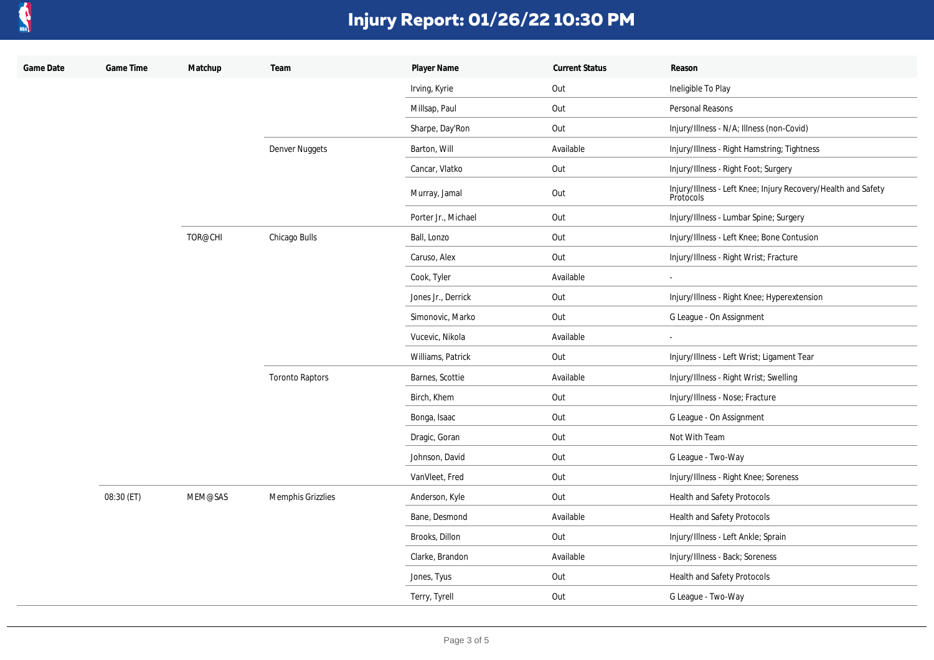

| Game Date | Game Time  | Matchup | Team                   | Player Name         | <b>Current Status</b> | Reason                                                                     |
|-----------|------------|---------|------------------------|---------------------|-----------------------|----------------------------------------------------------------------------|
|           |            |         |                        | Irving, Kyrie       | Out                   | Ineligible To Play                                                         |
|           |            |         |                        | Millsap, Paul       | Out                   | Personal Reasons                                                           |
|           |            |         |                        | Sharpe, Day'Ron     | Out                   | Injury/Illness - N/A; Illness (non-Covid)                                  |
|           |            |         | Denver Nuggets         | Barton, Will        | Available             | Injury/Illness - Right Hamstring; Tightness                                |
|           |            |         |                        | Cancar, Vlatko      | Out                   | Injury/Illness - Right Foot; Surgery                                       |
|           |            |         |                        | Murray, Jamal       | Out                   | Injury/Illness - Left Knee; Injury Recovery/Health and Safety<br>Protocols |
|           |            |         |                        | Porter Jr., Michael | Out                   | Injury/Illness - Lumbar Spine; Surgery                                     |
|           |            | TOR@CHI | Chicago Bulls          | Ball, Lonzo         | Out                   | Injury/Illness - Left Knee; Bone Contusion                                 |
|           |            |         |                        | Caruso, Alex        | Out                   | Injury/Illness - Right Wrist; Fracture                                     |
|           |            |         |                        | Cook, Tyler         | Available             | $\overline{\phantom{a}}$                                                   |
|           |            |         |                        | Jones Jr., Derrick  | Out                   | Injury/Illness - Right Knee; Hyperextension                                |
|           |            |         |                        | Simonovic, Marko    | Out                   | G League - On Assignment                                                   |
|           |            |         |                        | Vucevic, Nikola     | Available             | $\overline{\phantom{a}}$                                                   |
|           |            |         |                        | Williams, Patrick   | Out                   | Injury/Illness - Left Wrist; Ligament Tear                                 |
|           |            |         | <b>Toronto Raptors</b> | Barnes, Scottie     | Available             | Injury/Illness - Right Wrist; Swelling                                     |
|           |            |         |                        | Birch, Khem         | Out                   | Injury/Illness - Nose; Fracture                                            |
|           |            |         |                        | Bonga, Isaac        | Out                   | G League - On Assignment                                                   |
|           |            |         |                        | Dragic, Goran       | Out                   | Not With Team                                                              |
|           |            |         |                        | Johnson, David      | Out                   | G League - Two-Way                                                         |
|           |            |         |                        | VanVleet, Fred      | Out                   | Injury/Illness - Right Knee; Soreness                                      |
|           | 08:30 (ET) | MEM@SAS | Memphis Grizzlies      | Anderson, Kyle      | Out                   | <b>Health and Safety Protocols</b>                                         |
|           |            |         |                        | Bane, Desmond       | Available             | Health and Safety Protocols                                                |
|           |            |         |                        | Brooks, Dillon      | Out                   | Injury/Illness - Left Ankle; Sprain                                        |
|           |            |         |                        | Clarke, Brandon     | Available             | Injury/Illness - Back; Soreness                                            |
|           |            |         |                        | Jones, Tyus         | Out                   | Health and Safety Protocols                                                |
|           |            |         |                        | Terry, Tyrell       | Out                   | G League - Two-Way                                                         |
|           |            |         |                        |                     |                       |                                                                            |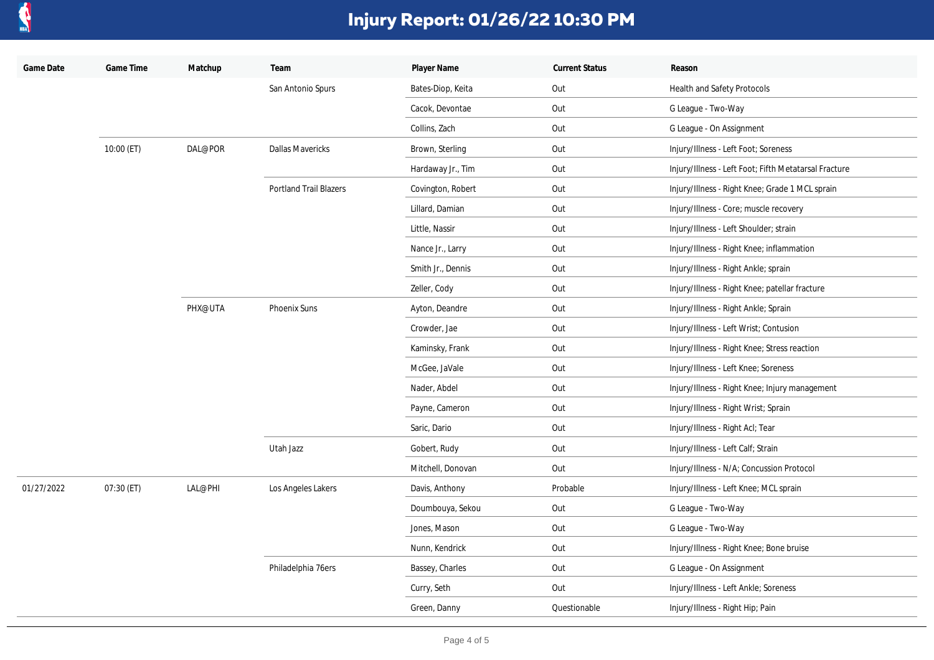

| Game Date  | Game Time  | Matchup | Team                          | Player Name       | <b>Current Status</b> | Reason                                                |
|------------|------------|---------|-------------------------------|-------------------|-----------------------|-------------------------------------------------------|
|            |            |         | San Antonio Spurs             | Bates-Diop, Keita | Out                   | Health and Safety Protocols                           |
|            |            |         |                               | Cacok, Devontae   | Out                   | G League - Two-Way                                    |
|            |            |         |                               | Collins, Zach     | Out                   | G League - On Assignment                              |
|            | 10:00 (ET) | DAL@POR | <b>Dallas Mavericks</b>       | Brown, Sterling   | Out                   | Injury/Illness - Left Foot; Soreness                  |
|            |            |         |                               | Hardaway Jr., Tim | Out                   | Injury/Illness - Left Foot; Fifth Metatarsal Fracture |
|            |            |         | <b>Portland Trail Blazers</b> | Covington, Robert | Out                   | Injury/Illness - Right Knee; Grade 1 MCL sprain       |
|            |            |         |                               | Lillard, Damian   | Out                   | Injury/Illness - Core; muscle recovery                |
|            |            |         |                               | Little, Nassir    | Out                   | Injury/Illness - Left Shoulder; strain                |
|            |            |         |                               | Nance Jr., Larry  | Out                   | Injury/Illness - Right Knee; inflammation             |
|            |            |         |                               | Smith Jr., Dennis | Out                   | Injury/Illness - Right Ankle; sprain                  |
|            |            |         |                               | Zeller, Cody      | Out                   | Injury/Illness - Right Knee; patellar fracture        |
|            |            | PHX@UTA | Phoenix Suns<br>Utah Jazz     | Ayton, Deandre    | Out                   | Injury/Illness - Right Ankle; Sprain                  |
|            |            |         |                               | Crowder, Jae      | Out                   | Injury/Illness - Left Wrist; Contusion                |
|            |            |         |                               | Kaminsky, Frank   | Out                   | Injury/Illness - Right Knee; Stress reaction          |
|            |            |         |                               | McGee, JaVale     | Out                   | Injury/Illness - Left Knee; Soreness                  |
|            |            |         |                               | Nader, Abdel      | Out                   | Injury/Illness - Right Knee; Injury management        |
|            |            |         |                               | Payne, Cameron    | Out                   | Injury/Illness - Right Wrist; Sprain                  |
|            |            |         |                               | Saric, Dario      | Out                   | Injury/Illness - Right Acl; Tear                      |
|            |            |         |                               | Gobert, Rudy      | Out                   | Injury/Illness - Left Calf; Strain                    |
|            |            |         |                               | Mitchell, Donovan | Out                   | Injury/Illness - N/A; Concussion Protocol             |
| 01/27/2022 | 07:30 (ET) | LAL@PHI | Los Angeles Lakers            | Davis, Anthony    | Probable              | Injury/Illness - Left Knee; MCL sprain                |
|            |            |         |                               | Doumbouya, Sekou  | Out                   | G League - Two-Way                                    |
|            |            |         |                               | Jones, Mason      | Out                   | G League - Two-Way                                    |
|            |            |         |                               | Nunn, Kendrick    | Out                   | Injury/Illness - Right Knee; Bone bruise              |
|            |            |         | Philadelphia 76ers            | Bassey, Charles   | Out                   | G League - On Assignment                              |
|            |            |         |                               | Curry, Seth       | Out                   | Injury/Illness - Left Ankle; Soreness                 |
|            |            |         |                               | Green, Danny      | Questionable          | Injury/Illness - Right Hip; Pain                      |